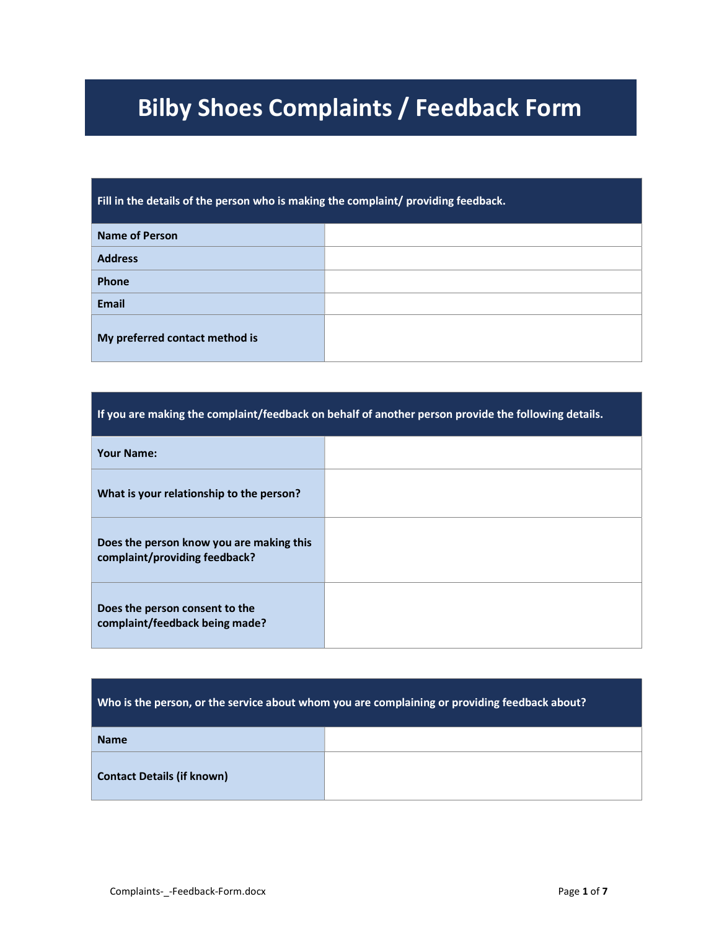# Bilby Shoes Complaints / Feedback Form

Fill in the details of the person who is making the complaint/ providing feedback.

| <b>Name of Person</b>          |  |
|--------------------------------|--|
| <b>Address</b>                 |  |
| Phone                          |  |
| <b>Email</b>                   |  |
| My preferred contact method is |  |

| If you are making the complaint/feedback on behalf of another person provide the following details. |  |
|-----------------------------------------------------------------------------------------------------|--|
| <b>Your Name:</b>                                                                                   |  |
| What is your relationship to the person?                                                            |  |
| Does the person know you are making this<br>complaint/providing feedback?                           |  |
| Does the person consent to the<br>complaint/feedback being made?                                    |  |

| Who is the person, or the service about whom you are complaining or providing feedback about? |  |
|-----------------------------------------------------------------------------------------------|--|
| <b>Name</b>                                                                                   |  |
| <b>Contact Details (if known)</b>                                                             |  |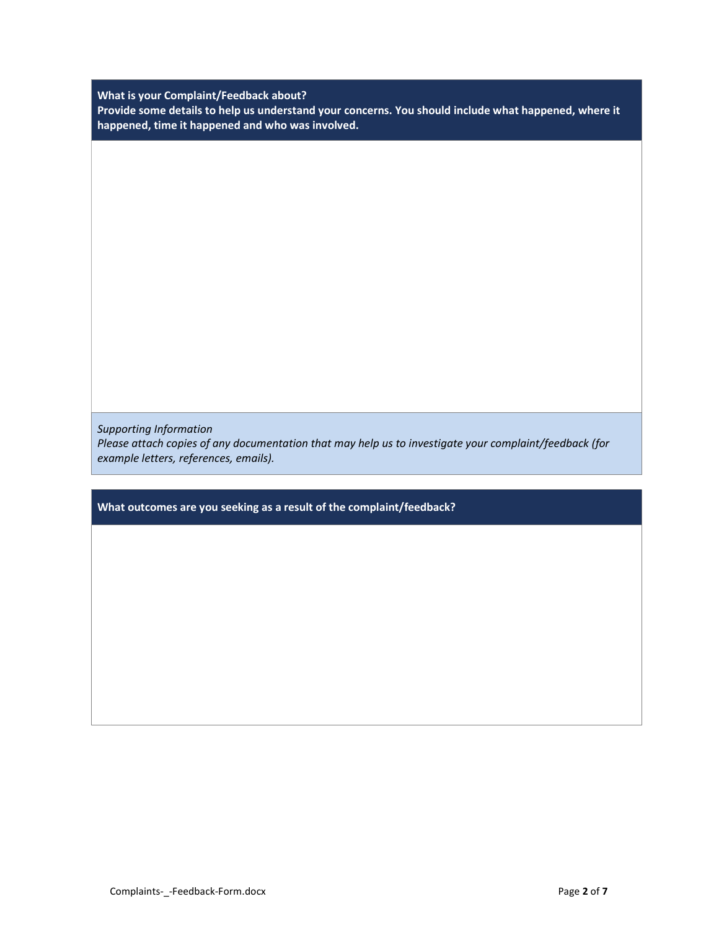What is your Complaint/Feedback about?

Provide some details to help us understand your concerns. You should include what happened, where it happened, time it happened and who was involved.

Supporting Information Please attach copies of any documentation that may help us to investigate your complaint/feedback (for example letters, references, emails).

What outcomes are you seeking as a result of the complaint/feedback?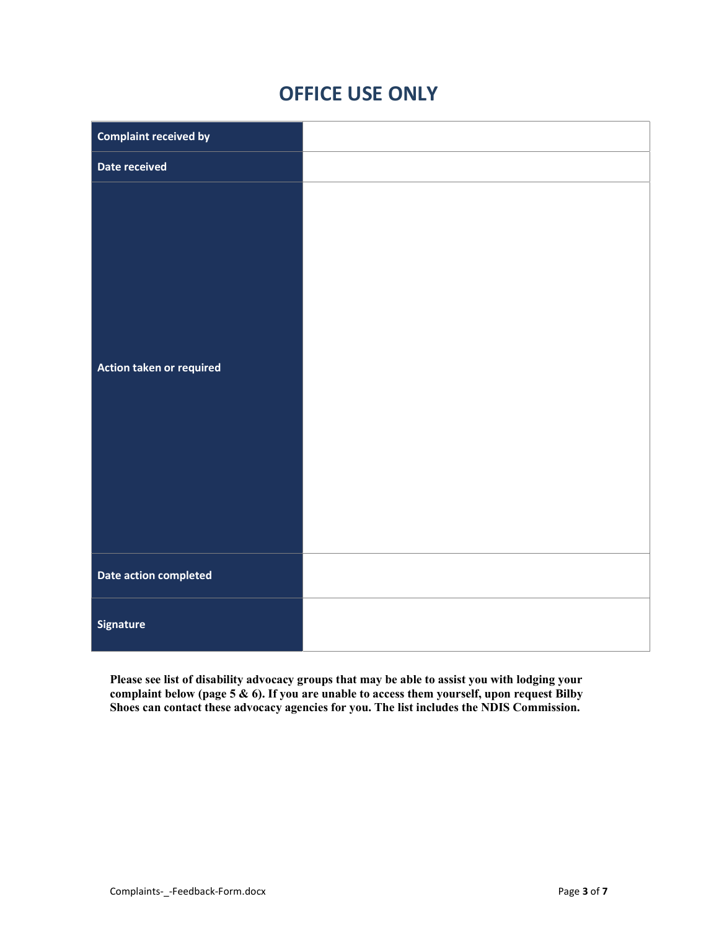# OFFICE USE ONLY

| <b>Complaint received by</b> |  |
|------------------------------|--|
| Date received                |  |
| Action taken or required     |  |
|                              |  |
| Date action completed        |  |
| <b>Signature</b>             |  |

Please see list of disability advocacy groups that may be able to assist you with lodging your complaint below (page 5  $\&$  6). If you are unable to access them yourself, upon request Bilby Shoes can contact these advocacy agencies for you. The list includes the NDIS Commission.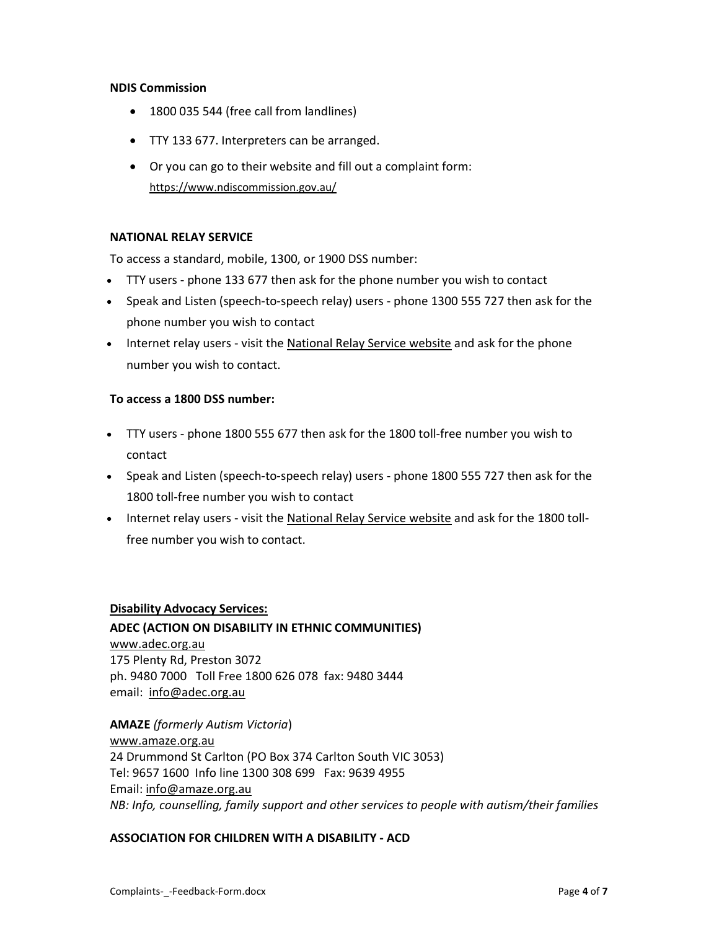# NDIS Commission

- 1800 035 544 (free call from landlines)
- TTY 133 677. Interpreters can be arranged.
- Or you can go to their website and fill out a complaint form: https://www.ndiscommission.gov.au/

# NATIONAL RELAY SERVICE

To access a standard, mobile, 1300, or 1900 DSS number:

- TTY users phone 133 677 then ask for the phone number you wish to contact
- Speak and Listen (speech-to-speech relay) users phone 1300 555 727 then ask for the phone number you wish to contact
- Internet relay users visit the National Relay Service website and ask for the phone number you wish to contact.

#### To access a 1800 DSS number:

- TTY users phone 1800 555 677 then ask for the 1800 toll-free number you wish to contact
- Speak and Listen (speech-to-speech relay) users phone 1800 555 727 then ask for the 1800 toll-free number you wish to contact
- Internet relay users visit the National Relay Service website and ask for the 1800 tollfree number you wish to contact.

#### Disability Advocacy Services:

ADEC (ACTION ON DISABILITY IN ETHNIC COMMUNITIES) www.adec.org.au 175 Plenty Rd, Preston 3072 ph. 9480 7000 Toll Free 1800 626 078 fax: 9480 3444 email: info@adec.org.au

AMAZE (formerly Autism Victoria) www.amaze.org.au 24 Drummond St Carlton (PO Box 374 Carlton South VIC 3053) Tel: 9657 1600 Info line 1300 308 699 Fax: 9639 4955 Email: info@amaze.org.au NB: Info, counselling, family support and other services to people with autism/their families

#### ASSOCIATION FOR CHILDREN WITH A DISABILITY - ACD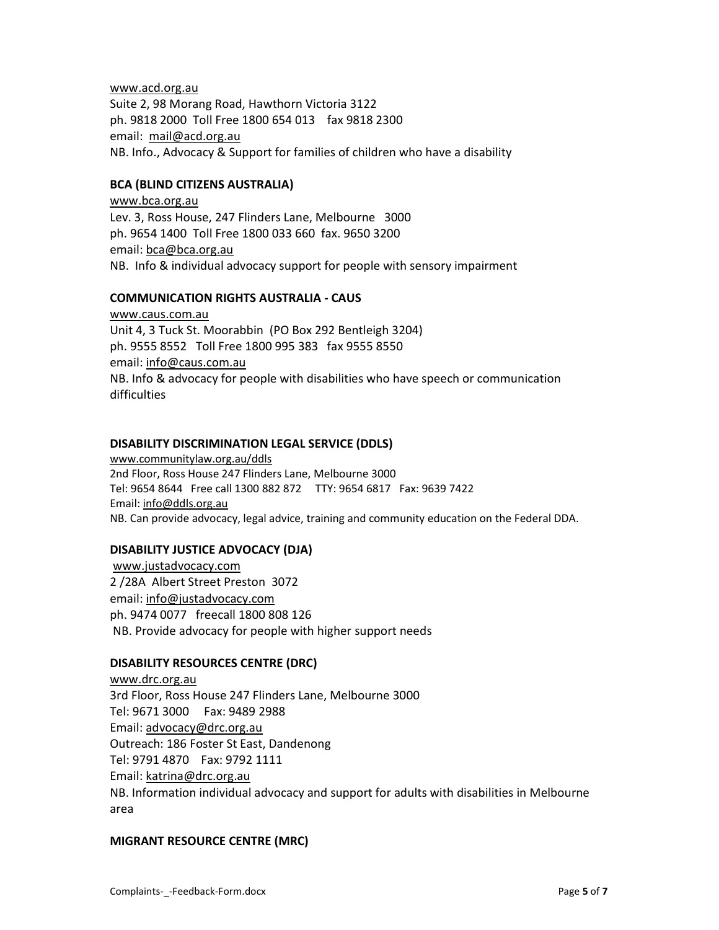#### www.acd.org.au

Suite 2, 98 Morang Road, Hawthorn Victoria 3122 ph. 9818 2000 Toll Free 1800 654 013 fax 9818 2300 email: mail@acd.org.au NB. Info., Advocacy & Support for families of children who have a disability

# BCA (BLIND CITIZENS AUSTRALIA)

www.bca.org.au Lev. 3, Ross House, 247 Flinders Lane, Melbourne 3000 ph. 9654 1400 Toll Free 1800 033 660 fax. 9650 3200 email: bca@bca.org.au NB. Info & individual advocacy support for people with sensory impairment

#### COMMUNICATION RIGHTS AUSTRALIA - CAUS

www.caus.com.au Unit 4, 3 Tuck St. Moorabbin (PO Box 292 Bentleigh 3204) ph. 9555 8552 Toll Free 1800 995 383 fax 9555 8550 email: info@caus.com.au NB. Info & advocacy for people with disabilities who have speech or communication difficulties

#### DISABILITY DISCRIMINATION LEGAL SERVICE (DDLS)

www.communitylaw.org.au/ddls 2nd Floor, Ross House 247 Flinders Lane, Melbourne 3000 Tel: 9654 8644 Free call 1300 882 872 TTY: 9654 6817 Fax: 9639 7422 Email: info@ddls.org.au NB. Can provide advocacy, legal advice, training and community education on the Federal DDA.

# DISABILITY JUSTICE ADVOCACY (DJA)

 www.justadvocacy.com 2 /28A Albert Street Preston 3072 email: info@justadvocacy.com ph. 9474 0077 freecall 1800 808 126 NB. Provide advocacy for people with higher support needs

# DISABILITY RESOURCES CENTRE (DRC)

www.drc.org.au 3rd Floor, Ross House 247 Flinders Lane, Melbourne 3000 Tel: 9671 3000 Fax: 9489 2988 Email: advocacy@drc.org.au Outreach: 186 Foster St East, Dandenong Tel: 9791 4870 Fax: 9792 1111 Email: katrina@drc.org.au NB. Information individual advocacy and support for adults with disabilities in Melbourne area

# MIGRANT RESOURCE CENTRE (MRC)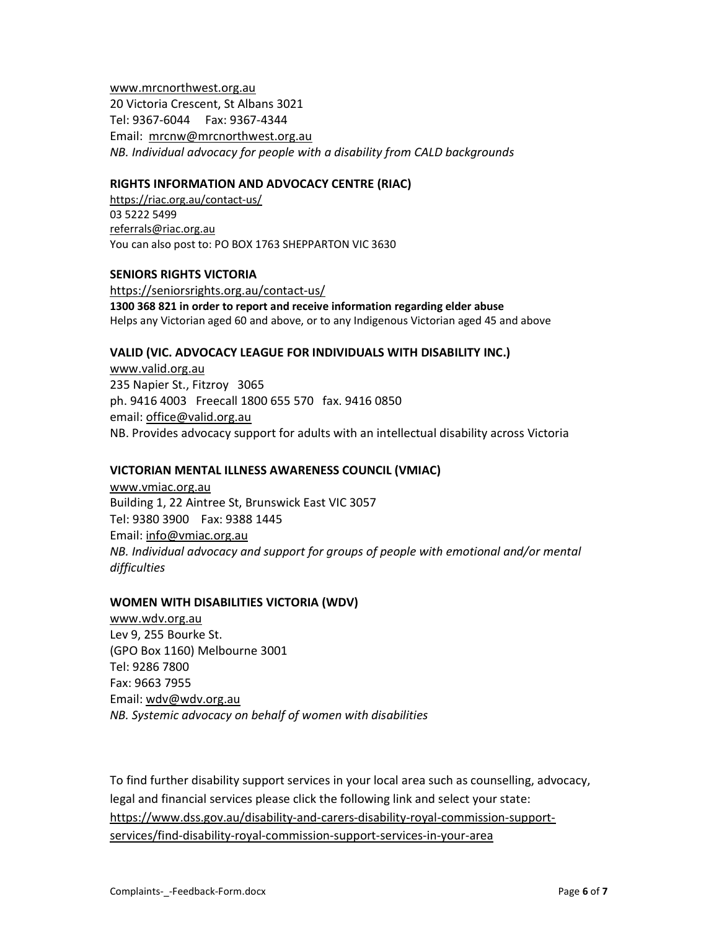www.mrcnorthwest.org.au 20 Victoria Crescent, St Albans 3021 Tel: 9367-6044 Fax: 9367-4344 Email: mrcnw@mrcnorthwest.org.au NB. Individual advocacy for people with a disability from CALD backgrounds

# RIGHTS INFORMATION AND ADVOCACY CENTRE (RIAC)

https://riac.org.au/contact-us/ 03 5222 5499 referrals@riac.org.au You can also post to: PO BOX 1763 SHEPPARTON VIC 3630

#### SENIORS RIGHTS VICTORIA

https://seniorsrights.org.au/contact-us/ 1300 368 821 in order to report and receive information regarding elder abuse Helps any Victorian aged 60 and above, or to any Indigenous Victorian aged 45 and above

#### VALID (VIC. ADVOCACY LEAGUE FOR INDIVIDUALS WITH DISABILITY INC.)

www.valid.org.au 235 Napier St., Fitzroy 3065 ph. 9416 4003 Freecall 1800 655 570 fax. 9416 0850 email: office@valid.org.au NB. Provides advocacy support for adults with an intellectual disability across Victoria

# VICTORIAN MENTAL ILLNESS AWARENESS COUNCIL (VMIAC)

www.vmiac.org.au Building 1, 22 Aintree St, Brunswick East VIC 3057 Tel: 9380 3900 Fax: 9388 1445 Email: info@vmiac.org.au NB. Individual advocacy and support for groups of people with emotional and/or mental difficulties

#### WOMEN WITH DISABILITIES VICTORIA (WDV)

www.wdv.org.au Lev 9, 255 Bourke St. (GPO Box 1160) Melbourne 3001 Tel: 9286 7800 Fax: 9663 7955 Email: wdv@wdv.org.au NB. Systemic advocacy on behalf of women with disabilities

To find further disability support services in your local area such as counselling, advocacy, legal and financial services please click the following link and select your state: https://www.dss.gov.au/disability-and-carers-disability-royal-commission-supportservices/find-disability-royal-commission-support-services-in-your-area